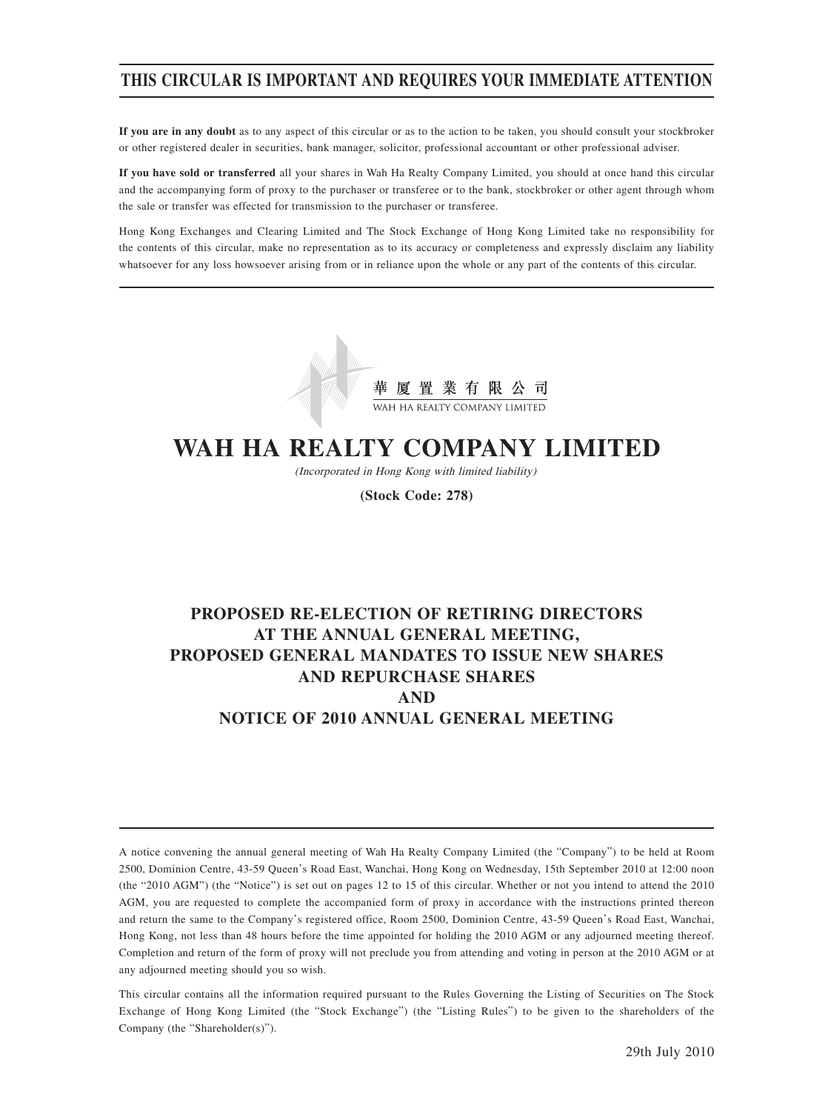## **THIS CIRCULAR IS IMPORTANT AND REQUIRES YOUR IMMEDIATE ATTENTION**

**If you are in any doubt** as to any aspect of this circular or as to the action to be taken, you should consult your stockbroker or other registered dealer in securities, bank manager, solicitor, professional accountant or other professional adviser.

**If you have sold or transferred** all your shares in Wah Ha Realty Company Limited, you should at once hand this circular and the accompanying form of proxy to the purchaser or transferee or to the bank, stockbroker or other agent through whom the sale or transfer was effected for transmission to the purchaser or transferee.

Hong Kong Exchanges and Clearing Limited and The Stock Exchange of Hong Kong Limited take no responsibility for the contents of this circular, make no representation as to its accuracy or completeness and expressly disclaim any liability whatsoever for any loss howsoever arising from or in reliance upon the whole or any part of the contents of this circular.



# **WAH HA REALTY COMPANY LIMITED**

(Incorporated in Hong Kong with limited liability)

**(Stock Code: 278)**

## **PROPOSED RE-ELECTION OF RETIRING DIRECTORS AT THE ANNUAL GENERAL MEETING, PROPOSED GENERAL MANDATES TO ISSUE NEW SHARES AND REPURCHASE SHARES AND NOTICE OF 2010 ANNUAL GENERAL MEETING**

A notice convening the annual general meeting of Wah Ha Realty Company Limited (the "Company") to be held at Room 2500, Dominion Centre, 43-59 Queen's Road East, Wanchai, Hong Kong on Wednesday, 15th September 2010 at 12:00 noon (the "2010 AGM") (the "Notice") is set out on pages 12 to 15 of this circular. Whether or not you intend to attend the 2010 AGM, you are requested to complete the accompanied form of proxy in accordance with the instructions printed thereon and return the same to the Company's registered office, Room 2500, Dominion Centre, 43-59 Queen's Road East, Wanchai, Hong Kong, not less than 48 hours before the time appointed for holding the 2010 AGM or any adjourned meeting thereof. Completion and return of the form of proxy will not preclude you from attending and voting in person at the 2010 AGM or at any adjourned meeting should you so wish.

This circular contains all the information required pursuant to the Rules Governing the Listing of Securities on The Stock Exchange of Hong Kong Limited (the "Stock Exchange") (the "Listing Rules") to be given to the shareholders of the Company (the "Shareholder(s)").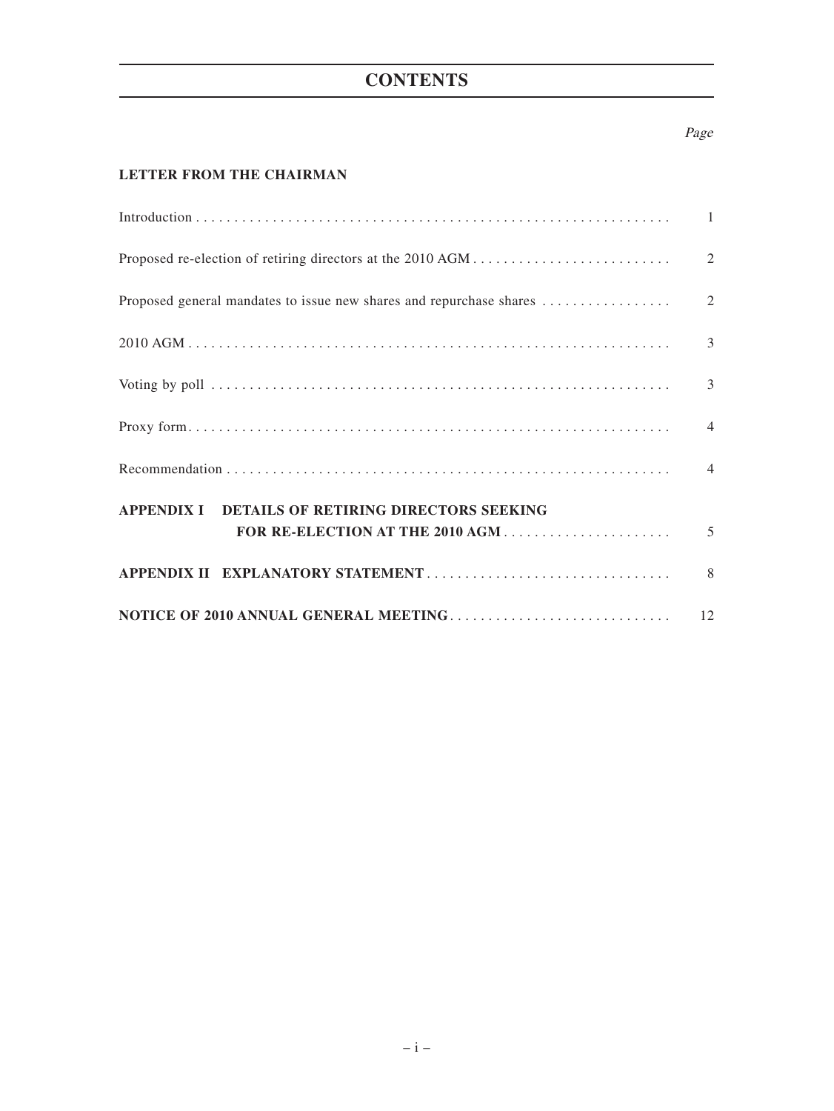## **CONTENTS**

## Page

## **LETTER FROM THE CHAIRMAN**

|                                                  | $\mathfrak{Z}$ |
|--------------------------------------------------|----------------|
|                                                  |                |
|                                                  |                |
| APPENDIX I DETAILS OF RETIRING DIRECTORS SEEKING |                |
|                                                  | 5              |
|                                                  |                |
|                                                  |                |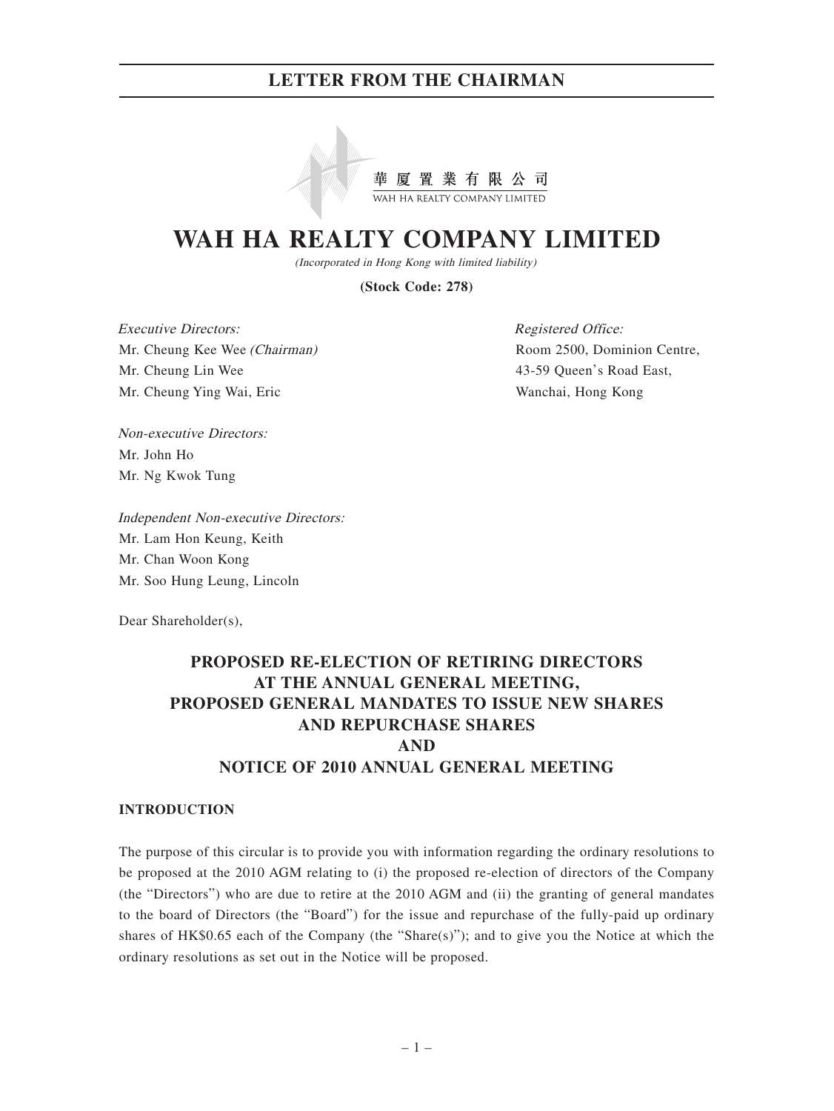

# **WAH HA REALTY COMPANY LIMITED**

(Incorporated in Hong Kong with limited liability)

**(Stock Code: 278)**

Executive Directors: Mr. Cheung Kee Wee (Chairman) Mr. Cheung Lin Wee Mr. Cheung Ying Wai, Eric

Registered Office: Room 2500, Dominion Centre, 43-59 Queen's Road East, Wanchai, Hong Kong

Non-executive Directors: Mr. John Ho Mr. Ng Kwok Tung

Independent Non-executive Directors: Mr. Lam Hon Keung, Keith Mr. Chan Woon Kong Mr. Soo Hung Leung, Lincoln

Dear Shareholder(s),

## **PROPOSED RE-ELECTION OF RETIRING DIRECTORS AT THE ANNUAL GENERAL MEETING, PROPOSED GENERAL MANDATES TO ISSUE NEW SHARES AND REPURCHASE SHARES AND NOTICE OF 2010 ANNUAL GENERAL MEETING**

### **INTRODUCTION**

The purpose of this circular is to provide you with information regarding the ordinary resolutions to be proposed at the 2010 AGM relating to (i) the proposed re-election of directors of the Company (the "Directors") who are due to retire at the 2010 AGM and (ii) the granting of general mandates to the board of Directors (the "Board") for the issue and repurchase of the fully-paid up ordinary shares of  $HK$0.65$  each of the Company (the "Share(s)"); and to give you the Notice at which the ordinary resolutions as set out in the Notice will be proposed.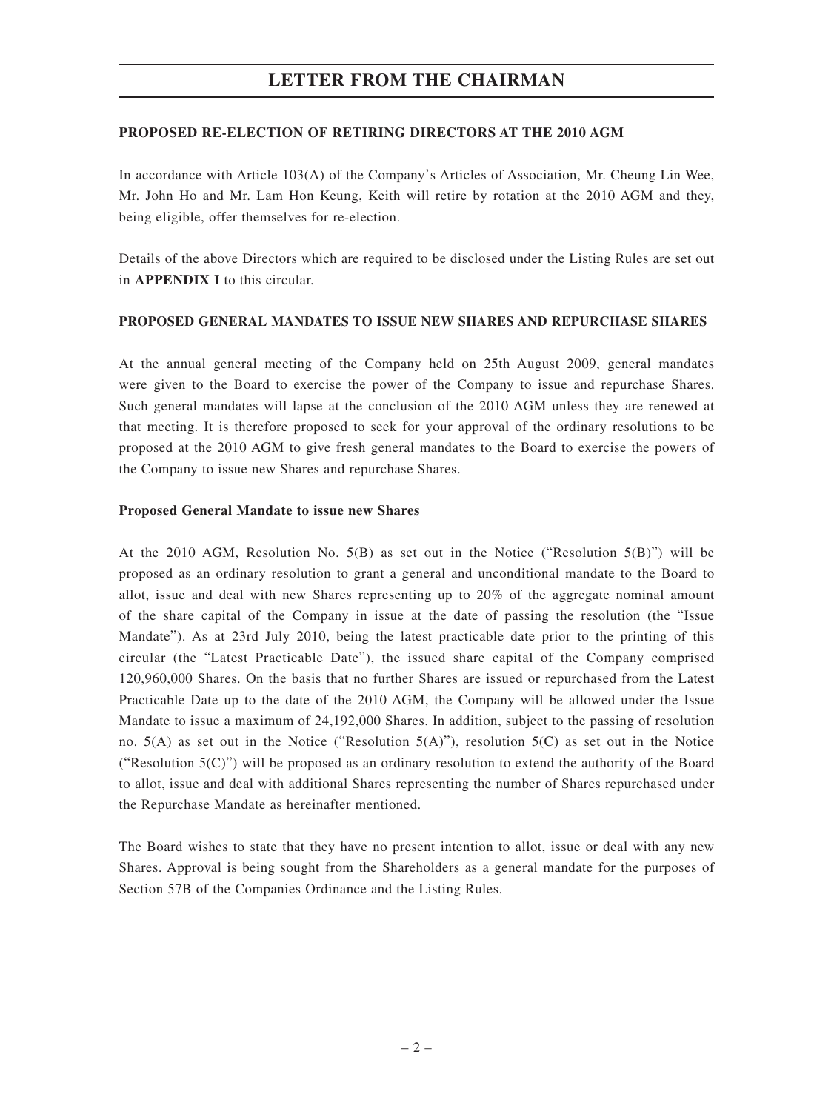## **PROPOSED RE-ELECTION OF RETIRING DIRECTORS AT THE 2010 AGM**

In accordance with Article 103(A) of the Company's Articles of Association, Mr. Cheung Lin Wee, Mr. John Ho and Mr. Lam Hon Keung, Keith will retire by rotation at the 2010 AGM and they, being eligible, offer themselves for re-election.

Details of the above Directors which are required to be disclosed under the Listing Rules are set out in **APPENDIX I** to this circular.

## **PROPOSED GENERAL MANDATES TO ISSUE NEW SHARES AND REPURCHASE SHARES**

At the annual general meeting of the Company held on 25th August 2009, general mandates were given to the Board to exercise the power of the Company to issue and repurchase Shares. Such general mandates will lapse at the conclusion of the 2010 AGM unless they are renewed at that meeting. It is therefore proposed to seek for your approval of the ordinary resolutions to be proposed at the 2010 AGM to give fresh general mandates to the Board to exercise the powers of the Company to issue new Shares and repurchase Shares.

### **Proposed General Mandate to issue new Shares**

At the 2010 AGM, Resolution No.  $5(B)$  as set out in the Notice ("Resolution  $5(B)$ ") will be proposed as an ordinary resolution to grant a general and unconditional mandate to the Board to allot, issue and deal with new Shares representing up to 20% of the aggregate nominal amount of the share capital of the Company in issue at the date of passing the resolution (the "Issue Mandate"). As at 23rd July 2010, being the latest practicable date prior to the printing of this circular (the "Latest Practicable Date"), the issued share capital of the Company comprised 120,960,000 Shares. On the basis that no further Shares are issued or repurchased from the Latest Practicable Date up to the date of the 2010 AGM, the Company will be allowed under the Issue Mandate to issue a maximum of 24,192,000 Shares. In addition, subject to the passing of resolution no. 5(A) as set out in the Notice ("Resolution 5(A)"), resolution 5(C) as set out in the Notice ("Resolution 5(C)") will be proposed as an ordinary resolution to extend the authority of the Board to allot, issue and deal with additional Shares representing the number of Shares repurchased under the Repurchase Mandate as hereinafter mentioned.

The Board wishes to state that they have no present intention to allot, issue or deal with any new Shares. Approval is being sought from the Shareholders as a general mandate for the purposes of Section 57B of the Companies Ordinance and the Listing Rules.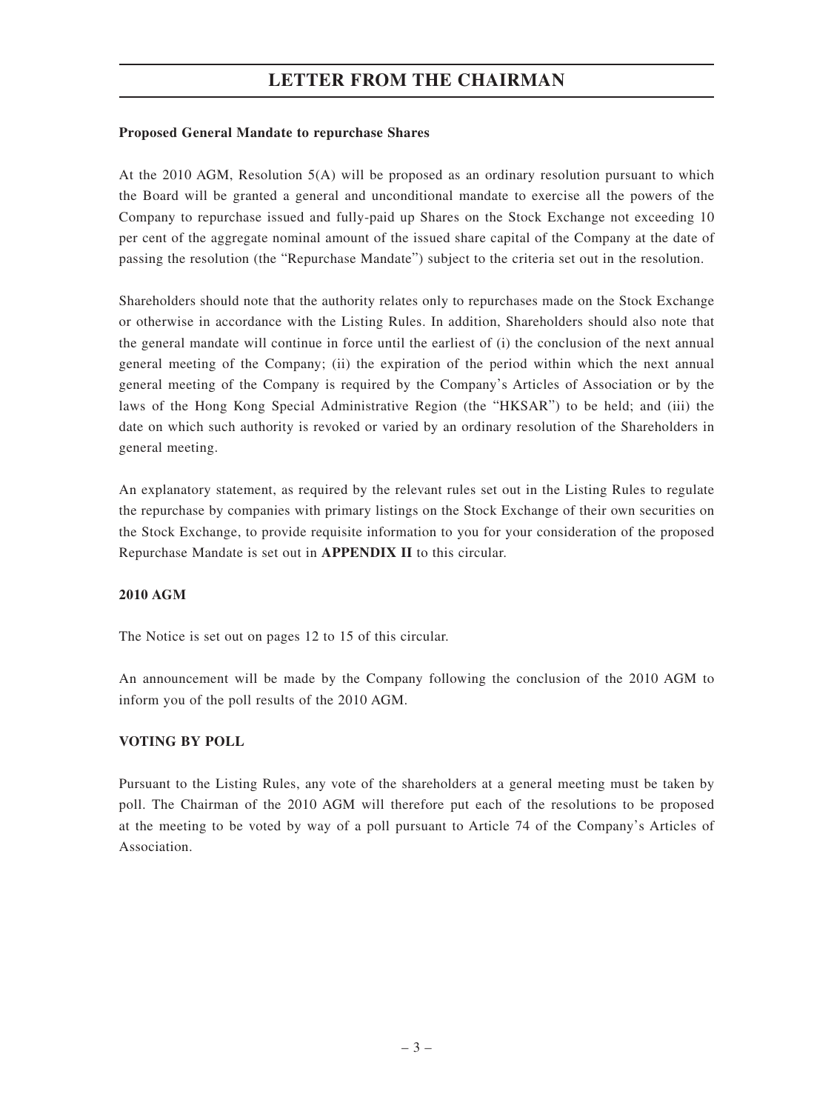## **Proposed General Mandate to repurchase Shares**

At the 2010 AGM, Resolution 5(A) will be proposed as an ordinary resolution pursuant to which the Board will be granted a general and unconditional mandate to exercise all the powers of the Company to repurchase issued and fully-paid up Shares on the Stock Exchange not exceeding 10 per cent of the aggregate nominal amount of the issued share capital of the Company at the date of passing the resolution (the "Repurchase Mandate") subject to the criteria set out in the resolution.

Shareholders should note that the authority relates only to repurchases made on the Stock Exchange or otherwise in accordance with the Listing Rules. In addition, Shareholders should also note that the general mandate will continue in force until the earliest of (i) the conclusion of the next annual general meeting of the Company; (ii) the expiration of the period within which the next annual general meeting of the Company is required by the Company's Articles of Association or by the laws of the Hong Kong Special Administrative Region (the "HKSAR") to be held; and (iii) the date on which such authority is revoked or varied by an ordinary resolution of the Shareholders in general meeting.

An explanatory statement, as required by the relevant rules set out in the Listing Rules to regulate the repurchase by companies with primary listings on the Stock Exchange of their own securities on the Stock Exchange, to provide requisite information to you for your consideration of the proposed Repurchase Mandate is set out in **APPENDIX II** to this circular.

### **2010 AGM**

The Notice is set out on pages 12 to 15 of this circular.

An announcement will be made by the Company following the conclusion of the 2010 AGM to inform you of the poll results of the 2010 AGM.

## **VOTING BY POLL**

Pursuant to the Listing Rules, any vote of the shareholders at a general meeting must be taken by poll. The Chairman of the 2010 AGM will therefore put each of the resolutions to be proposed at the meeting to be voted by way of a poll pursuant to Article 74 of the Company's Articles of Association.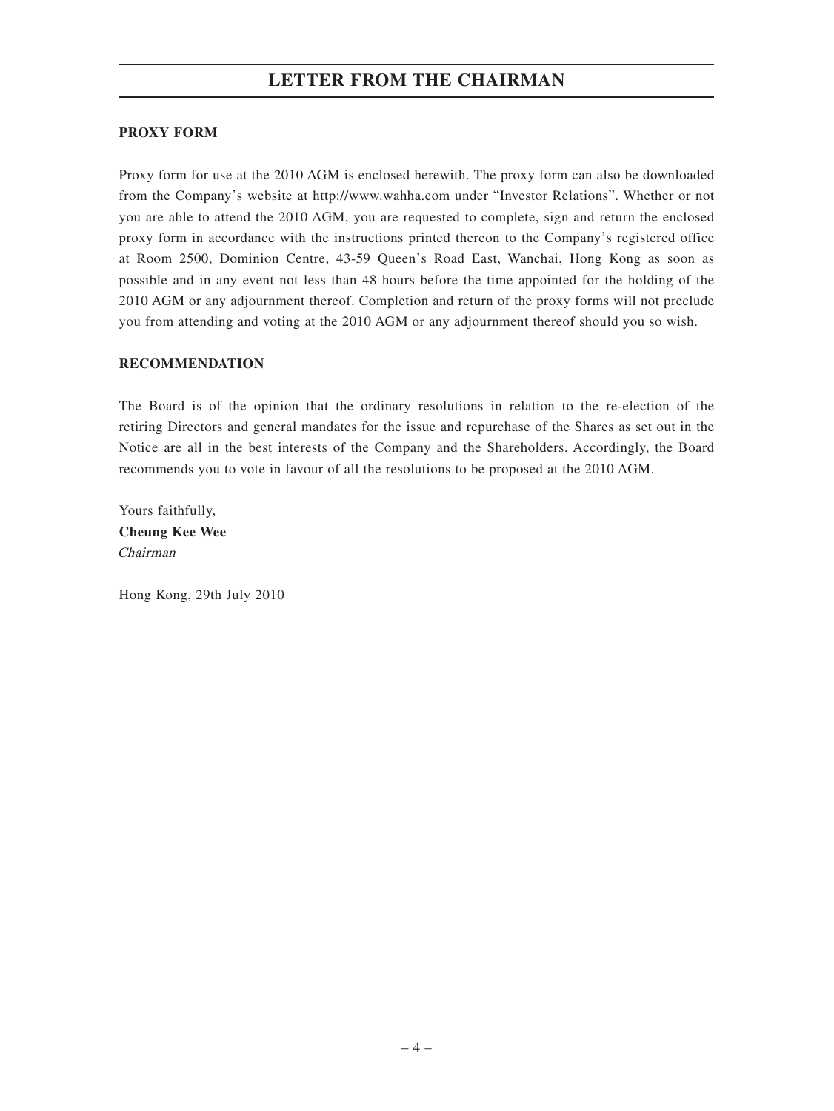## **PROXY FORM**

Proxy form for use at the 2010 AGM is enclosed herewith. The proxy form can also be downloaded from the Company's website at http://www.wahha.com under "Investor Relations". Whether or not you are able to attend the 2010 AGM, you are requested to complete, sign and return the enclosed proxy form in accordance with the instructions printed thereon to the Company's registered office at Room 2500, Dominion Centre, 43-59 Queen's Road East, Wanchai, Hong Kong as soon as possible and in any event not less than 48 hours before the time appointed for the holding of the 2010 AGM or any adjournment thereof. Completion and return of the proxy forms will not preclude you from attending and voting at the 2010 AGM or any adjournment thereof should you so wish.

## **RECOMMENDATION**

The Board is of the opinion that the ordinary resolutions in relation to the re-election of the retiring Directors and general mandates for the issue and repurchase of the Shares as set out in the Notice are all in the best interests of the Company and the Shareholders. Accordingly, the Board recommends you to vote in favour of all the resolutions to be proposed at the 2010 AGM.

Yours faithfully, **Cheung Kee Wee** Chairman

Hong Kong, 29th July 2010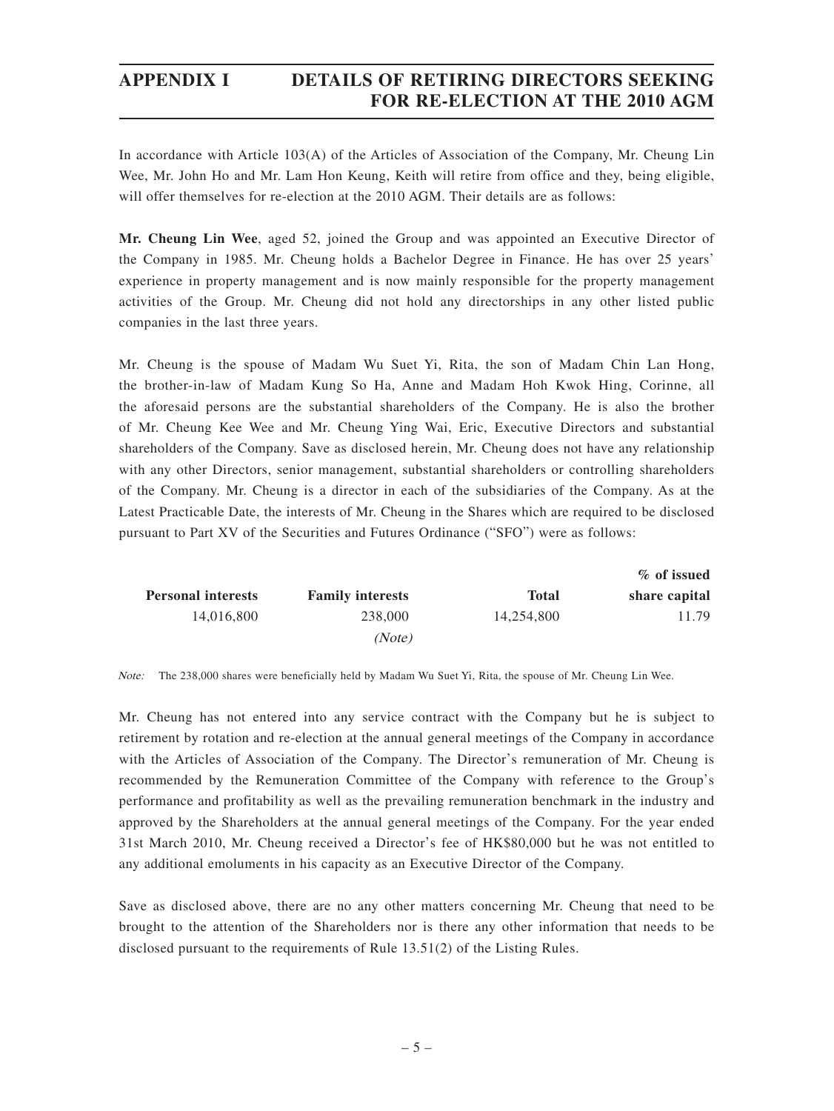## **APPENDIX I DETAILS OF RETIRING DIRECTORS SEEKING FOR RE-ELECTION AT THE 2010 AGM**

In accordance with Article 103(A) of the Articles of Association of the Company, Mr. Cheung Lin Wee, Mr. John Ho and Mr. Lam Hon Keung, Keith will retire from office and they, being eligible, will offer themselves for re-election at the 2010 AGM. Their details are as follows:

**Mr. Cheung Lin Wee**, aged 52, joined the Group and was appointed an Executive Director of the Company in 1985. Mr. Cheung holds a Bachelor Degree in Finance. He has over 25 years' experience in property management and is now mainly responsible for the property management activities of the Group. Mr. Cheung did not hold any directorships in any other listed public companies in the last three years.

Mr. Cheung is the spouse of Madam Wu Suet Yi, Rita, the son of Madam Chin Lan Hong, the brother-in-law of Madam Kung So Ha, Anne and Madam Hoh Kwok Hing, Corinne, all the aforesaid persons are the substantial shareholders of the Company. He is also the brother of Mr. Cheung Kee Wee and Mr. Cheung Ying Wai, Eric, Executive Directors and substantial shareholders of the Company. Save as disclosed herein, Mr. Cheung does not have any relationship with any other Directors, senior management, substantial shareholders or controlling shareholders of the Company. Mr. Cheung is a director in each of the subsidiaries of the Company. As at the Latest Practicable Date, the interests of Mr. Cheung in the Shares which are required to be disclosed pursuant to Part XV of the Securities and Futures Ordinance ("SFO") were as follows:

| % of issued   |              |                         |                           |
|---------------|--------------|-------------------------|---------------------------|
| share capital | <b>Total</b> | <b>Family interests</b> | <b>Personal interests</b> |
| 11.79         | 14.254.800   | 238,000                 | 14.016.800                |
|               |              | (Note)                  |                           |

Note: The 238,000 shares were beneficially held by Madam Wu Suet Yi, Rita, the spouse of Mr. Cheung Lin Wee.

Mr. Cheung has not entered into any service contract with the Company but he is subject to retirement by rotation and re-election at the annual general meetings of the Company in accordance with the Articles of Association of the Company. The Director's remuneration of Mr. Cheung is recommended by the Remuneration Committee of the Company with reference to the Group's performance and profitability as well as the prevailing remuneration benchmark in the industry and approved by the Shareholders at the annual general meetings of the Company. For the year ended 31st March 2010, Mr. Cheung received a Director's fee of HK\$80,000 but he was not entitled to any additional emoluments in his capacity as an Executive Director of the Company.

Save as disclosed above, there are no any other matters concerning Mr. Cheung that need to be brought to the attention of the Shareholders nor is there any other information that needs to be disclosed pursuant to the requirements of Rule 13.51(2) of the Listing Rules.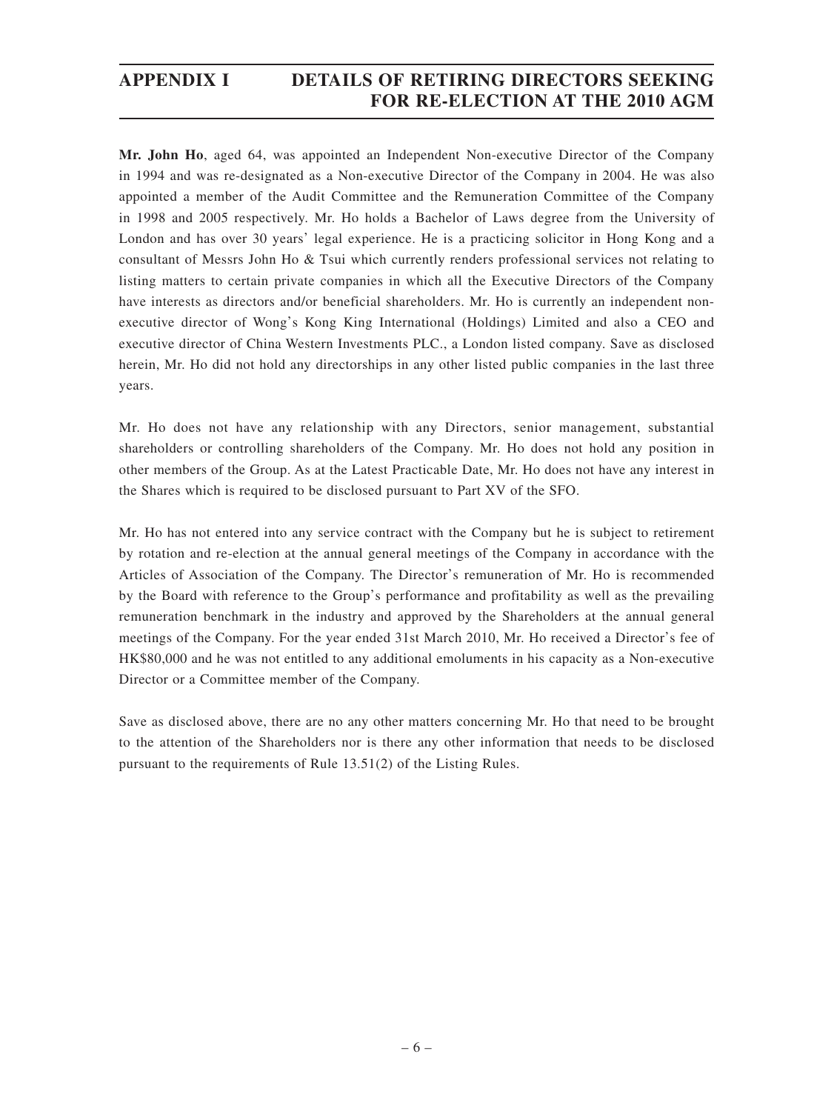## **APPENDIX I DETAILS OF RETIRING DIRECTORS SEEKING FOR RE-ELECTION AT THE 2010 AGM**

**Mr. John Ho**, aged 64, was appointed an Independent Non-executive Director of the Company in 1994 and was re-designated as a Non-executive Director of the Company in 2004. He was also appointed a member of the Audit Committee and the Remuneration Committee of the Company in 1998 and 2005 respectively. Mr. Ho holds a Bachelor of Laws degree from the University of London and has over 30 years' legal experience. He is a practicing solicitor in Hong Kong and a consultant of Messrs John Ho & Tsui which currently renders professional services not relating to listing matters to certain private companies in which all the Executive Directors of the Company have interests as directors and/or beneficial shareholders. Mr. Ho is currently an independent nonexecutive director of Wong's Kong King International (Holdings) Limited and also a CEO and executive director of China Western Investments PLC., a London listed company. Save as disclosed herein, Mr. Ho did not hold any directorships in any other listed public companies in the last three years.

Mr. Ho does not have any relationship with any Directors, senior management, substantial shareholders or controlling shareholders of the Company. Mr. Ho does not hold any position in other members of the Group. As at the Latest Practicable Date, Mr. Ho does not have any interest in the Shares which is required to be disclosed pursuant to Part XV of the SFO.

Mr. Ho has not entered into any service contract with the Company but he is subject to retirement by rotation and re-election at the annual general meetings of the Company in accordance with the Articles of Association of the Company. The Director's remuneration of Mr. Ho is recommended by the Board with reference to the Group's performance and profitability as well as the prevailing remuneration benchmark in the industry and approved by the Shareholders at the annual general meetings of the Company. For the year ended 31st March 2010, Mr. Ho received a Director's fee of HK\$80,000 and he was not entitled to any additional emoluments in his capacity as a Non-executive Director or a Committee member of the Company.

Save as disclosed above, there are no any other matters concerning Mr. Ho that need to be brought to the attention of the Shareholders nor is there any other information that needs to be disclosed pursuant to the requirements of Rule 13.51(2) of the Listing Rules.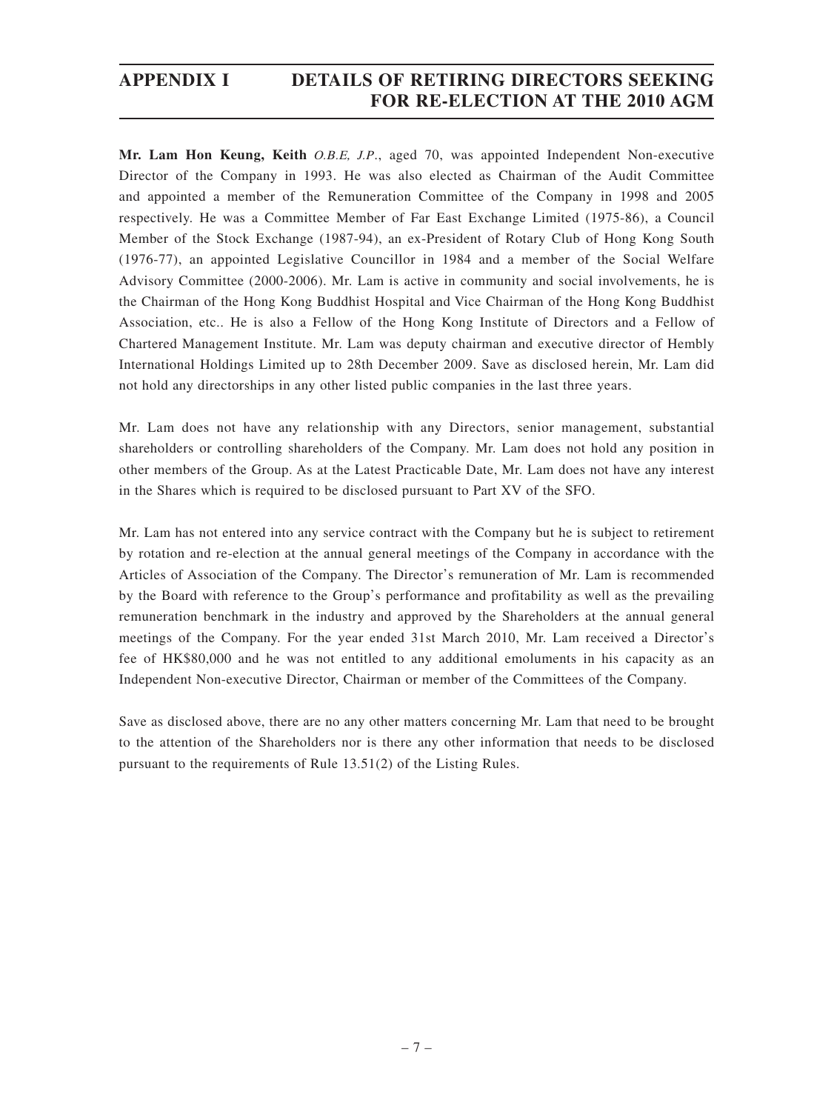## **APPENDIX I DETAILS OF RETIRING DIRECTORS SEEKING FOR RE-ELECTION AT THE 2010 AGM**

**Mr. Lam Hon Keung, Keith** O.B.E, J.P., aged 70, was appointed Independent Non-executive Director of the Company in 1993. He was also elected as Chairman of the Audit Committee and appointed a member of the Remuneration Committee of the Company in 1998 and 2005 respectively. He was a Committee Member of Far East Exchange Limited (1975-86), a Council Member of the Stock Exchange (1987-94), an ex-President of Rotary Club of Hong Kong South (1976-77), an appointed Legislative Councillor in 1984 and a member of the Social Welfare Advisory Committee (2000-2006). Mr. Lam is active in community and social involvements, he is the Chairman of the Hong Kong Buddhist Hospital and Vice Chairman of the Hong Kong Buddhist Association, etc.. He is also a Fellow of the Hong Kong Institute of Directors and a Fellow of Chartered Management Institute. Mr. Lam was deputy chairman and executive director of Hembly International Holdings Limited up to 28th December 2009. Save as disclosed herein, Mr. Lam did not hold any directorships in any other listed public companies in the last three years.

Mr. Lam does not have any relationship with any Directors, senior management, substantial shareholders or controlling shareholders of the Company. Mr. Lam does not hold any position in other members of the Group. As at the Latest Practicable Date, Mr. Lam does not have any interest in the Shares which is required to be disclosed pursuant to Part XV of the SFO.

Mr. Lam has not entered into any service contract with the Company but he is subject to retirement by rotation and re-election at the annual general meetings of the Company in accordance with the Articles of Association of the Company. The Director's remuneration of Mr. Lam is recommended by the Board with reference to the Group's performance and profitability as well as the prevailing remuneration benchmark in the industry and approved by the Shareholders at the annual general meetings of the Company. For the year ended 31st March 2010, Mr. Lam received a Director's fee of HK\$80,000 and he was not entitled to any additional emoluments in his capacity as an Independent Non-executive Director, Chairman or member of the Committees of the Company.

Save as disclosed above, there are no any other matters concerning Mr. Lam that need to be brought to the attention of the Shareholders nor is there any other information that needs to be disclosed pursuant to the requirements of Rule 13.51(2) of the Listing Rules.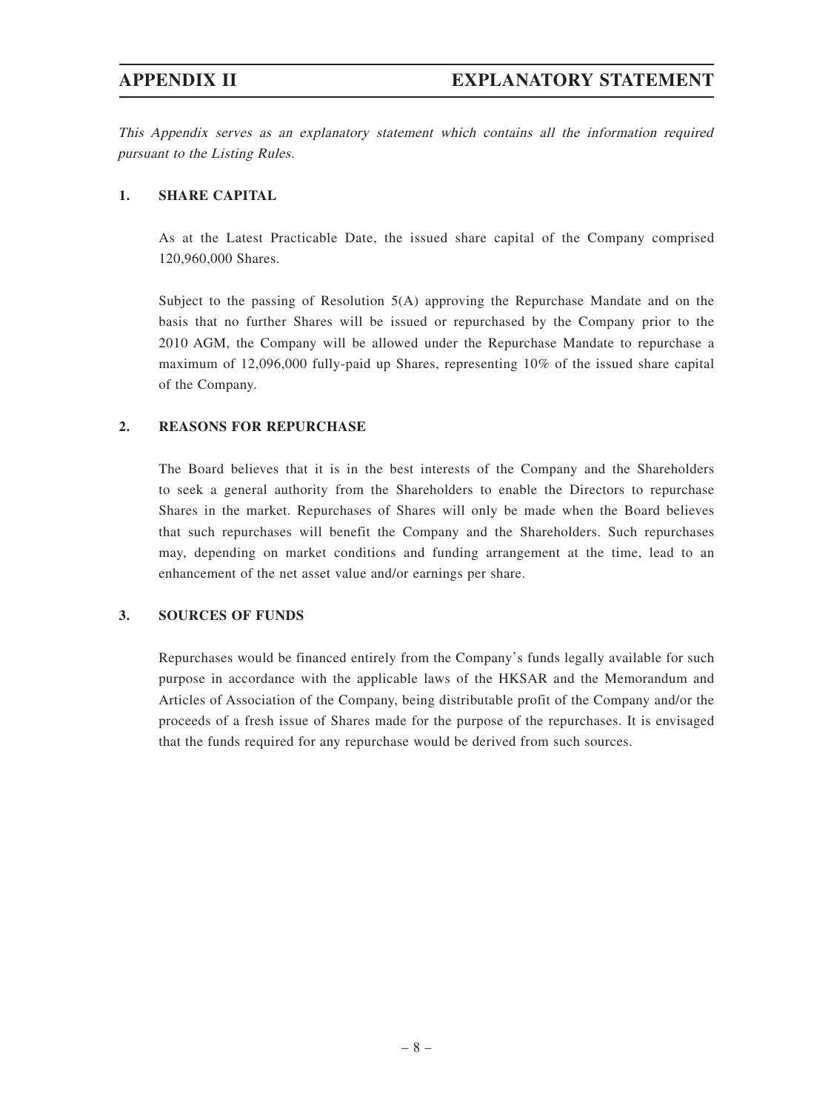This Appendix serves as an explanatory statement which contains all the information required pursuant to the Listing Rules.

### **1. SHARE CAPITAL**

As at the Latest Practicable Date, the issued share capital of the Company comprised 120,960,000 Shares.

Subject to the passing of Resolution 5(A) approving the Repurchase Mandate and on the basis that no further Shares will be issued or repurchased by the Company prior to the 2010 AGM, the Company will be allowed under the Repurchase Mandate to repurchase a maximum of 12,096,000 fully-paid up Shares, representing 10% of the issued share capital of the Company.

## **2. REASONS FOR REPURCHASE**

The Board believes that it is in the best interests of the Company and the Shareholders to seek a general authority from the Shareholders to enable the Directors to repurchase Shares in the market. Repurchases of Shares will only be made when the Board believes that such repurchases will benefit the Company and the Shareholders. Such repurchases may, depending on market conditions and funding arrangement at the time, lead to an enhancement of the net asset value and/or earnings per share.

### **3. SOURCES OF FUNDS**

Repurchases would be financed entirely from the Company's funds legally available for such purpose in accordance with the applicable laws of the HKSAR and the Memorandum and Articles of Association of the Company, being distributable profit of the Company and/or the proceeds of a fresh issue of Shares made for the purpose of the repurchases. It is envisaged that the funds required for any repurchase would be derived from such sources.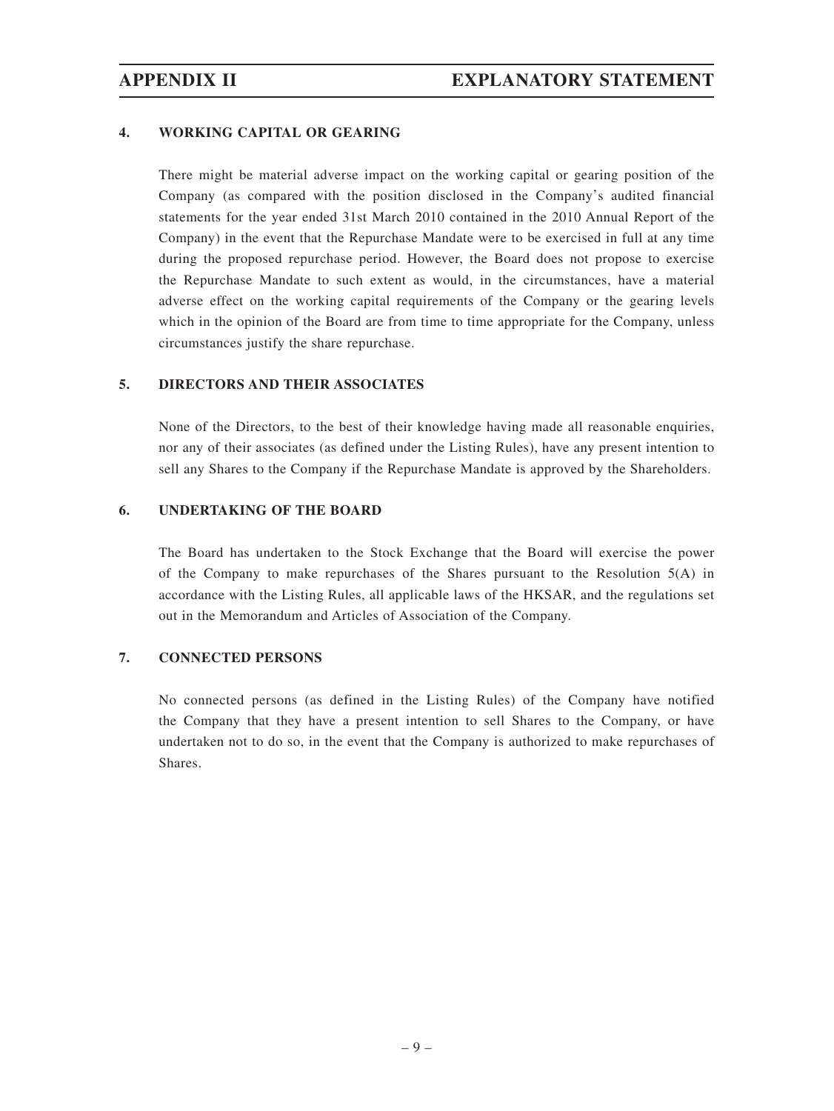## **4. WORKING CAPITAL OR GEARING**

There might be material adverse impact on the working capital or gearing position of the Company (as compared with the position disclosed in the Company's audited financial statements for the year ended 31st March 2010 contained in the 2010 Annual Report of the Company) in the event that the Repurchase Mandate were to be exercised in full at any time during the proposed repurchase period. However, the Board does not propose to exercise the Repurchase Mandate to such extent as would, in the circumstances, have a material adverse effect on the working capital requirements of the Company or the gearing levels which in the opinion of the Board are from time to time appropriate for the Company, unless circumstances justify the share repurchase.

## **5. DIRECTORS AND THEIR ASSOCIATES**

None of the Directors, to the best of their knowledge having made all reasonable enquiries, nor any of their associates (as defined under the Listing Rules), have any present intention to sell any Shares to the Company if the Repurchase Mandate is approved by the Shareholders.

## **6. UNDERTAKING OF THE BOARD**

The Board has undertaken to the Stock Exchange that the Board will exercise the power of the Company to make repurchases of the Shares pursuant to the Resolution  $5(A)$  in accordance with the Listing Rules, all applicable laws of the HKSAR, and the regulations set out in the Memorandum and Articles of Association of the Company.

### **7. CONNECTED PERSONS**

No connected persons (as defined in the Listing Rules) of the Company have notified the Company that they have a present intention to sell Shares to the Company, or have undertaken not to do so, in the event that the Company is authorized to make repurchases of Shares.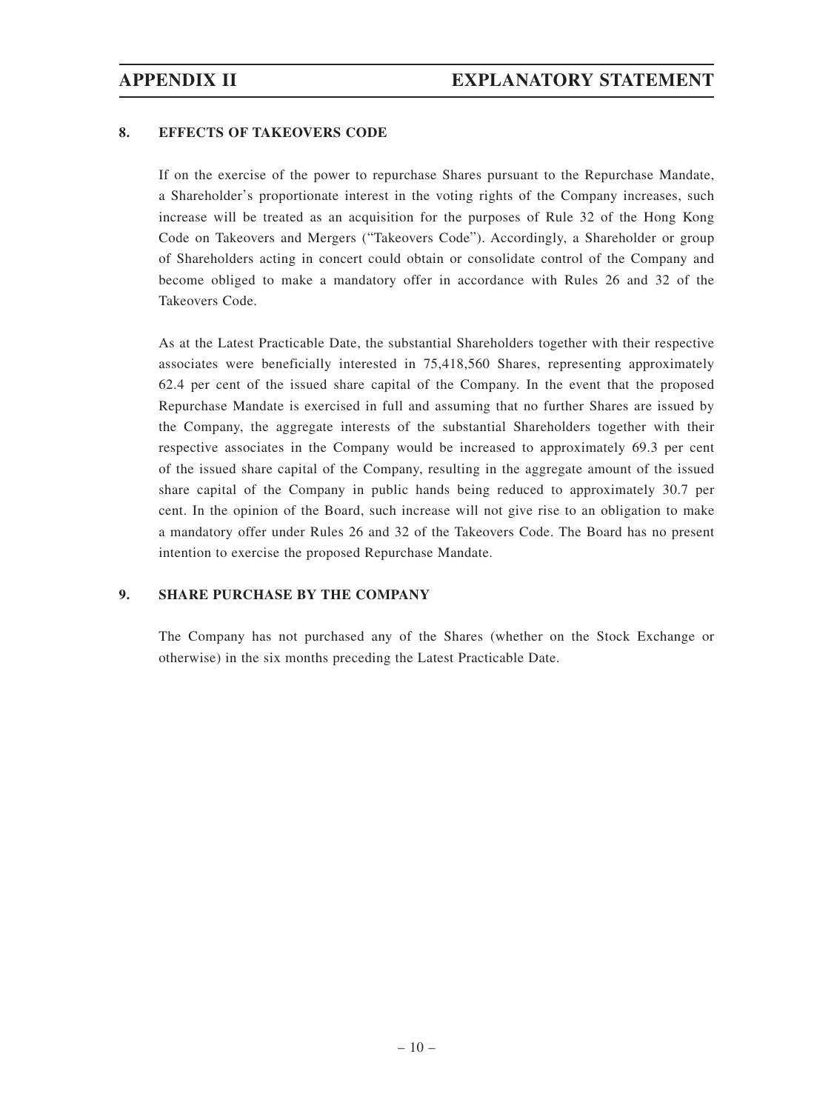## **8. EFFECTS OF TAKEOVERS CODE**

If on the exercise of the power to repurchase Shares pursuant to the Repurchase Mandate, a Shareholder's proportionate interest in the voting rights of the Company increases, such increase will be treated as an acquisition for the purposes of Rule 32 of the Hong Kong Code on Takeovers and Mergers ("Takeovers Code"). Accordingly, a Shareholder or group of Shareholders acting in concert could obtain or consolidate control of the Company and become obliged to make a mandatory offer in accordance with Rules 26 and 32 of the Takeovers Code.

As at the Latest Practicable Date, the substantial Shareholders together with their respective associates were beneficially interested in 75,418,560 Shares, representing approximately 62.4 per cent of the issued share capital of the Company. In the event that the proposed Repurchase Mandate is exercised in full and assuming that no further Shares are issued by the Company, the aggregate interests of the substantial Shareholders together with their respective associates in the Company would be increased to approximately 69.3 per cent of the issued share capital of the Company, resulting in the aggregate amount of the issued share capital of the Company in public hands being reduced to approximately 30.7 per cent. In the opinion of the Board, such increase will not give rise to an obligation to make a mandatory offer under Rules 26 and 32 of the Takeovers Code. The Board has no present intention to exercise the proposed Repurchase Mandate.

## **9. SHARE PURCHASE BY THE COMPANY**

The Company has not purchased any of the Shares (whether on the Stock Exchange or otherwise) in the six months preceding the Latest Practicable Date.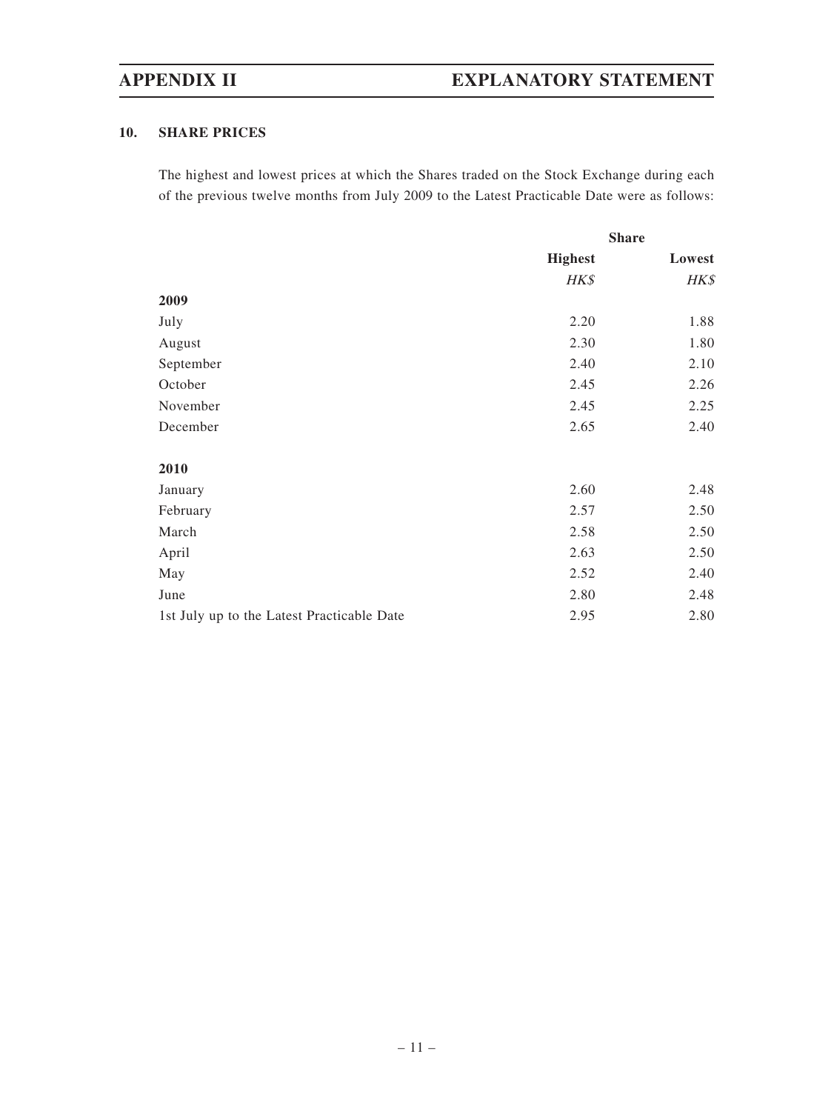# **APPENDIX II EXPLANATORY STATEMENT**

## **10. SHARE PRICES**

The highest and lowest prices at which the Shares traded on the Stock Exchange during each of the previous twelve months from July 2009 to the Latest Practicable Date were as follows:

|                                            | <b>Share</b>   |        |
|--------------------------------------------|----------------|--------|
|                                            | <b>Highest</b> | Lowest |
|                                            | HK\$           | HK\$   |
| 2009                                       |                |        |
| July                                       | 2.20           | 1.88   |
| August                                     | 2.30           | 1.80   |
| September                                  | 2.40           | 2.10   |
| October                                    | 2.45           | 2.26   |
| November                                   | 2.45           | 2.25   |
| December                                   | 2.65           | 2.40   |
| 2010                                       |                |        |
| January                                    | 2.60           | 2.48   |
| February                                   | 2.57           | 2.50   |
| March                                      | 2.58           | 2.50   |
| April                                      | 2.63           | 2.50   |
| May                                        | 2.52           | 2.40   |
| June                                       | 2.80           | 2.48   |
| 1st July up to the Latest Practicable Date | 2.95           | 2.80   |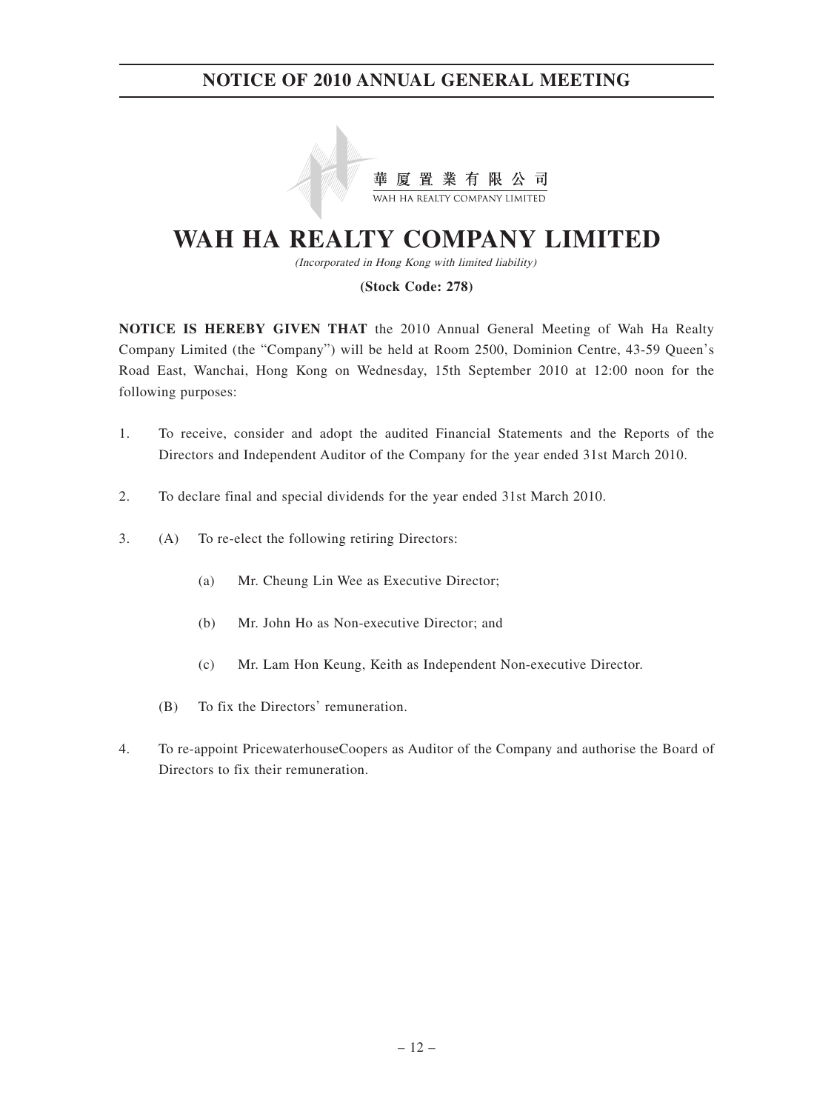

# **WAH HA REALTY COMPANY LIMITED**

(Incorporated in Hong Kong with limited liability)

### **(Stock Code: 278)**

**NOTICE IS HEREBY GIVEN THAT** the 2010 Annual General Meeting of Wah Ha Realty Company Limited (the "Company") will be held at Room 2500, Dominion Centre, 43-59 Queen's Road East, Wanchai, Hong Kong on Wednesday, 15th September 2010 at 12:00 noon for the following purposes:

- 1. To receive, consider and adopt the audited Financial Statements and the Reports of the Directors and Independent Auditor of the Company for the year ended 31st March 2010.
- 2. To declare final and special dividends for the year ended 31st March 2010.
- 3. (A) To re-elect the following retiring Directors:
	- (a) Mr. Cheung Lin Wee as Executive Director;
	- (b) Mr. John Ho as Non-executive Director; and
	- (c) Mr. Lam Hon Keung, Keith as Independent Non-executive Director.
	- (B) To fix the Directors' remuneration.
- 4. To re-appoint PricewaterhouseCoopers as Auditor of the Company and authorise the Board of Directors to fix their remuneration.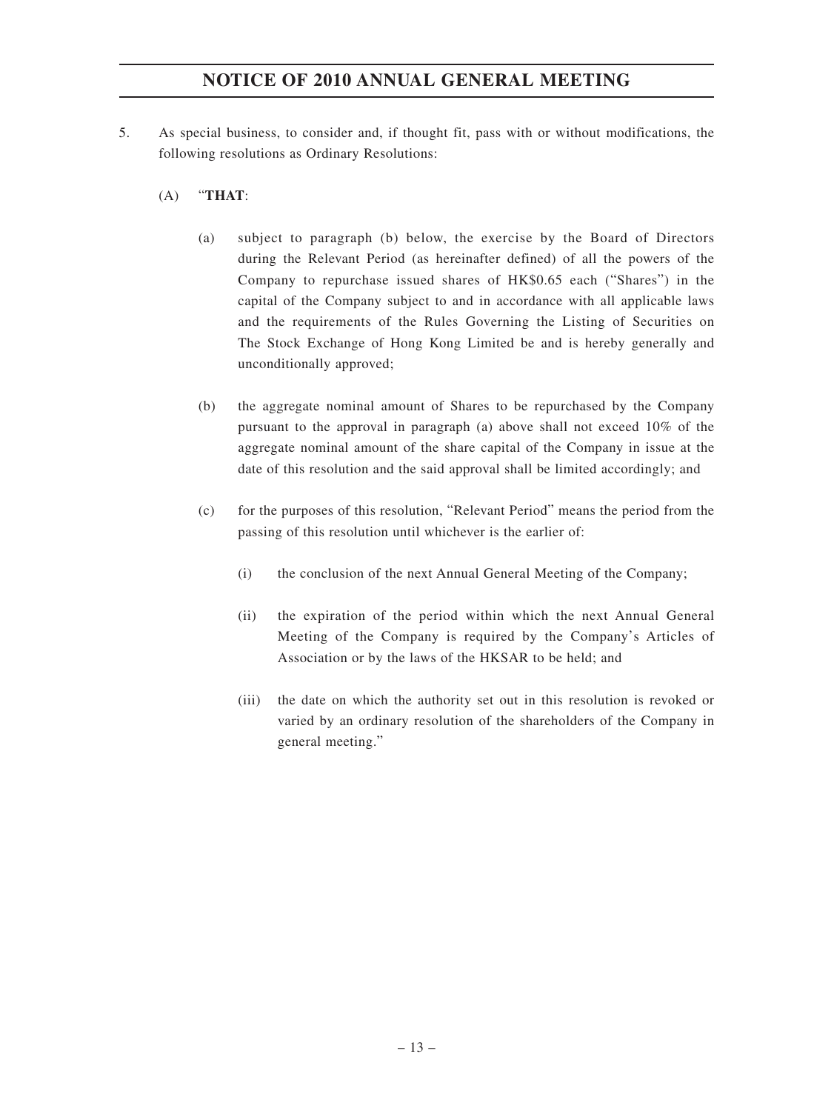- 5. As special business, to consider and, if thought fit, pass with or without modifications, the following resolutions as Ordinary Resolutions:
	- (A) "**THAT**:
		- (a) subject to paragraph (b) below, the exercise by the Board of Directors during the Relevant Period (as hereinafter defined) of all the powers of the Company to repurchase issued shares of HK\$0.65 each ("Shares") in the capital of the Company subject to and in accordance with all applicable laws and the requirements of the Rules Governing the Listing of Securities on The Stock Exchange of Hong Kong Limited be and is hereby generally and unconditionally approved;
		- (b) the aggregate nominal amount of Shares to be repurchased by the Company pursuant to the approval in paragraph (a) above shall not exceed 10% of the aggregate nominal amount of the share capital of the Company in issue at the date of this resolution and the said approval shall be limited accordingly; and
		- (c) for the purposes of this resolution, "Relevant Period" means the period from the passing of this resolution until whichever is the earlier of:
			- (i) the conclusion of the next Annual General Meeting of the Company;
			- (ii) the expiration of the period within which the next Annual General Meeting of the Company is required by the Company's Articles of Association or by the laws of the HKSAR to be held; and
			- (iii) the date on which the authority set out in this resolution is revoked or varied by an ordinary resolution of the shareholders of the Company in general meeting."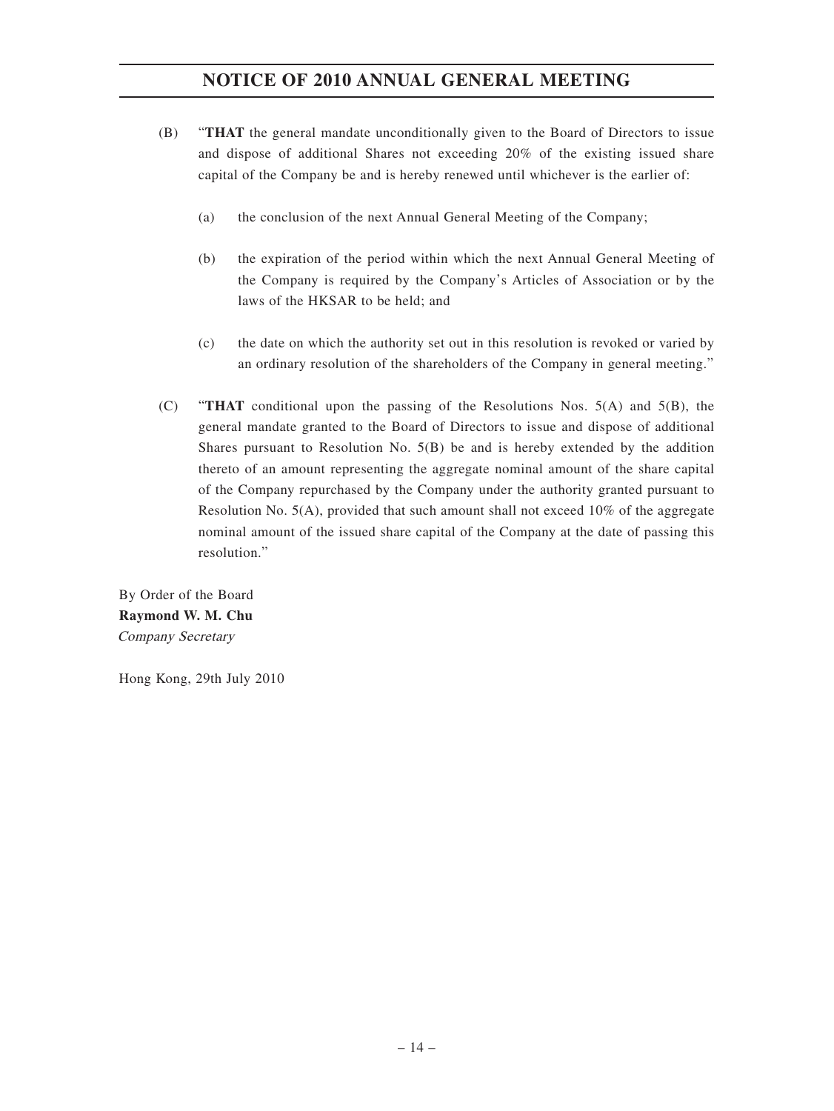- (B) "**THAT** the general mandate unconditionally given to the Board of Directors to issue and dispose of additional Shares not exceeding 20% of the existing issued share capital of the Company be and is hereby renewed until whichever is the earlier of:
	- (a) the conclusion of the next Annual General Meeting of the Company;
	- (b) the expiration of the period within which the next Annual General Meeting of the Company is required by the Company's Articles of Association or by the laws of the HKSAR to be held; and
	- (c) the date on which the authority set out in this resolution is revoked or varied by an ordinary resolution of the shareholders of the Company in general meeting."
- (C) "**THAT** conditional upon the passing of the Resolutions Nos. 5(A) and 5(B), the general mandate granted to the Board of Directors to issue and dispose of additional Shares pursuant to Resolution No. 5(B) be and is hereby extended by the addition thereto of an amount representing the aggregate nominal amount of the share capital of the Company repurchased by the Company under the authority granted pursuant to Resolution No. 5(A), provided that such amount shall not exceed 10% of the aggregate nominal amount of the issued share capital of the Company at the date of passing this resolution."

By Order of the Board **Raymond W. M. Chu** Company Secretary

Hong Kong, 29th July 2010